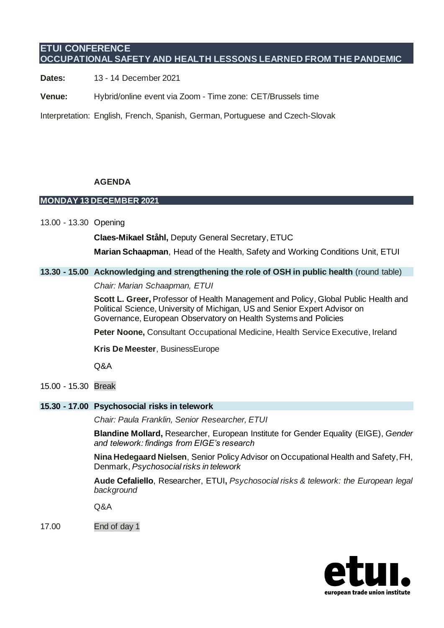# **ETUI CONFERENCE OCCUPATIONAL SAFETY AND HEALTH LESSONS LEARNED FROM THE PANDEMIC**

**Dates:** 13 - 14 December 2021

**Venue:** Hybrid/online event via Zoom - Time zone: CET/Brussels time

Interpretation: English, French, Spanish, German, Portuguese and Czech-Slovak

### **AGENDA**

### **MONDAY 13 DECEMBER 2021**

13.00 - 13.30 Opening

**Claes-Mikael Ståhl,** Deputy General Secretary, ETUC

**Marian Schaapman**, Head of the Health, Safety and Working Conditions Unit, ETUI

### **13.30 - 15.00 Acknowledging and strengthening the role of OSH in public health** (round table)

*Chair: Marian Schaapman, ETUI*

**Scott L. Greer,** Professor of Health Management and Policy, Global Public Health and Political Science, University of Michigan, US and Senior Expert Advisor on Governance, European Observatory on Health Systems and Policies

**Peter Noone,** Consultant Occupational Medicine, Health Service Executive, Ireland

**Kris De Meester**, BusinessEurope

Q&A

15.00 - 15.30 Break

### **15.30 - 17.00 Psychosocial risks in telework**

*Chair: Paula Franklin, Senior Researcher, ETUI*

**Blandine Mollard,** Researcher, European Institute for Gender Equality (EIGE), *Gender and telework: findings from EIGE's research*

**Nina Hedegaard Nielsen**, Senior Policy Advisor on Occupational Health and Safety, FH, Denmark, *Psychosocial risks in telework*

**Aude Cefaliello**, Researcher, ETUI**,** *Psychosocial risks & telework: the European legal background*

Q&A

17.00 End of day 1